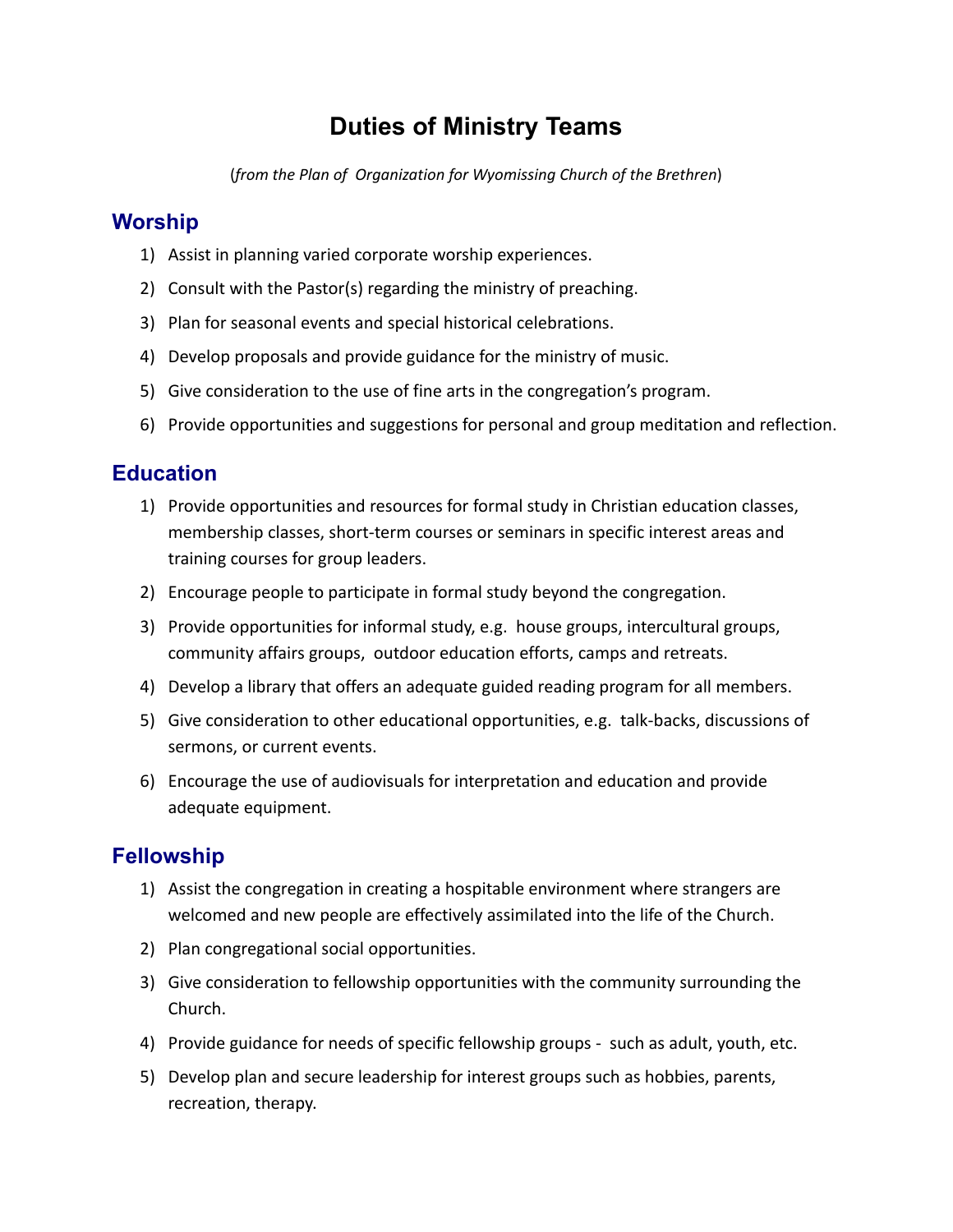# **Duties of Ministry Teams**

(*from the Plan of Organization for Wyomissing Church of the Brethren*)

### **Worship**

- 1) Assist in planning varied corporate worship experiences.
- 2) Consult with the Pastor(s) regarding the ministry of preaching.
- 3) Plan for seasonal events and special historical celebrations.
- 4) Develop proposals and provide guidance for the ministry of music.
- 5) Give consideration to the use of fine arts in the congregation's program.
- 6) Provide opportunities and suggestions for personal and group meditation and reflection.

## **Education**

- 1) Provide opportunities and resources for formal study in Christian education classes, membership classes, short-term courses or seminars in specific interest areas and training courses for group leaders.
- 2) Encourage people to participate in formal study beyond the congregation.
- 3) Provide opportunities for informal study, e.g. house groups, intercultural groups, community affairs groups, outdoor education efforts, camps and retreats.
- 4) Develop a library that offers an adequate guided reading program for all members.
- 5) Give consideration to other educational opportunities, e.g. talk-backs, discussions of sermons, or current events.
- 6) Encourage the use of audiovisuals for interpretation and education and provide adequate equipment.

# **Fellowship**

- 1) Assist the congregation in creating a hospitable environment where strangers are welcomed and new people are effectively assimilated into the life of the Church.
- 2) Plan congregational social opportunities.
- 3) Give consideration to fellowship opportunities with the community surrounding the Church.
- 4) Provide guidance for needs of specific fellowship groups such as adult, youth, etc.
- 5) Develop plan and secure leadership for interest groups such as hobbies, parents, recreation, therapy.